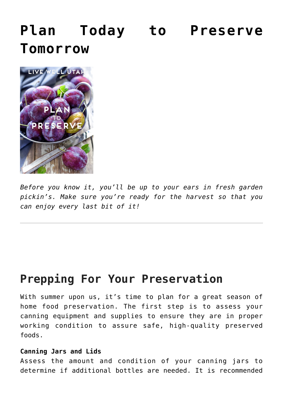# **[Plan Today to Preserve](https://livewellutah.org/2015/06/16/plan-today-to-preserve-tomorrow/) [Tomorrow](https://livewellutah.org/2015/06/16/plan-today-to-preserve-tomorrow/)**



*Before you know it, you'll be up to your ears in fresh garden pickin's. Make sure you're ready for the harvest so that you can enjoy every last bit of it!*

# **Prepping For Your Preservation**

With summer upon us, it's time to plan for a great season of home food preservation. The first step is to assess your canning equipment and supplies to ensure they are in proper working condition to assure safe, high-quality preserved foods.

## **Canning Jars and Lids**

Assess the amount and condition of your canning jars to determine if additional bottles are needed. It is recommended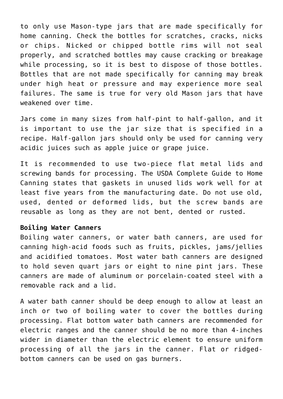to only use Mason-type jars that are made specifically for home canning. Check the bottles for scratches, cracks, nicks or chips. Nicked or chipped bottle rims will not seal properly, and scratched bottles may cause cracking or breakage while processing, so it is best to dispose of those bottles. Bottles that are not made specifically for canning may break under high heat or pressure and may experience more seal failures. The same is true for very old Mason jars that have weakened over time.

Jars come in many sizes from half-pint to half-gallon, and it is important to use the jar size that is specified in a recipe. Half-gallon jars should only be used for canning very acidic juices such as apple juice or grape juice.

It is recommended to use two-piece flat metal lids and screwing bands for processing. The USDA Complete Guide to Home Canning states that gaskets in unused lids work well for at least five years from the manufacturing date. Do not use old, used, dented or deformed lids, but the screw bands are reusable as long as they are not bent, dented or rusted.

#### **Boiling Water Canners**

Boiling water canners, or water bath canners, are used for canning high-acid foods such as fruits, pickles, jams/jellies and acidified tomatoes. Most water bath canners are designed to hold seven quart jars or eight to nine pint jars. These canners are made of aluminum or porcelain-coated steel with a removable rack and a lid.

A water bath canner should be deep enough to allow at least an inch or two of boiling water to cover the bottles during processing. Flat bottom water bath canners are recommended for electric ranges and the canner should be no more than 4-inches wider in diameter than the electric element to ensure uniform processing of all the jars in the canner. Flat or ridgedbottom canners can be used on gas burners.